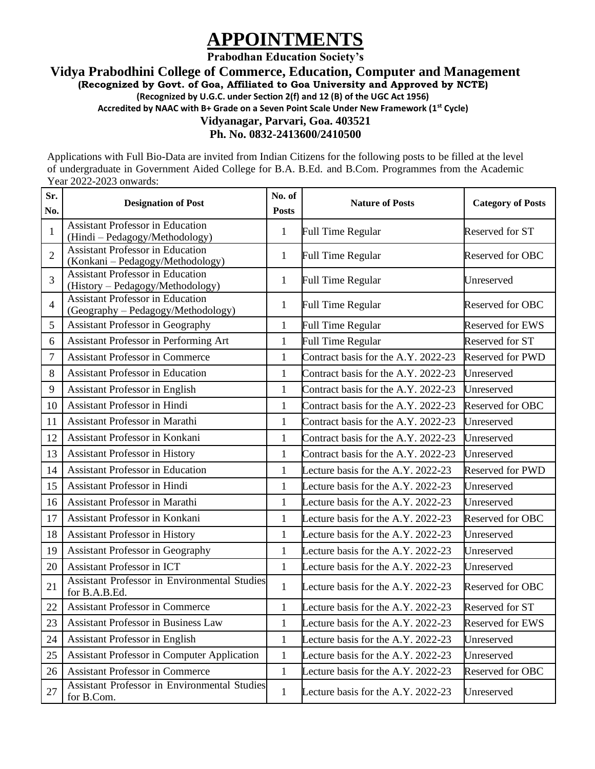# **APPOINTMENTS**

**Prabodhan Education Society's**

**Vidya Prabodhini College of Commerce, Education, Computer and Management**

**(Recognized by Govt. of Goa, Affiliated to Goa University and Approved by NCTE)**

**(Recognized by U.G.C. under Section 2(f) and 12 (B) of the UGC Act 1956)**

**Accredited by NAAC with B+ Grade on a Seven Point Scale Under New Framework (1st Cycle)**

# **Vidyanagar, Parvari, Goa. 403521**

**Ph. No. 0832-2413600/2410500**

Applications with Full Bio-Data are invited from Indian Citizens for the following posts to be filled at the level of undergraduate in Government Aided College for B.A. B.Ed. and B.Com. Programmes from the Academic Year 2022-2023 onwards:

| Sr.<br>No.               | <b>Designation of Post</b>                                                    | No. of<br><b>Posts</b> | <b>Nature of Posts</b>              | <b>Category of Posts</b> |
|--------------------------|-------------------------------------------------------------------------------|------------------------|-------------------------------------|--------------------------|
| 1                        | <b>Assistant Professor in Education</b><br>(Hindi - Pedagogy/Methodology)     | $\mathbf{1}$           | <b>Full Time Regular</b>            | Reserved for ST          |
| $\overline{2}$           | <b>Assistant Professor in Education</b><br>(Konkani - Pedagogy/Methodology)   | $\mathbf{1}$           | <b>Full Time Regular</b>            | Reserved for OBC         |
| 3                        | <b>Assistant Professor in Education</b><br>(History - Pedagogy/Methodology)   | $\mathbf{1}$           | <b>Full Time Regular</b>            | Unreserved               |
| $\overline{\mathcal{A}}$ | <b>Assistant Professor in Education</b><br>(Geography - Pedagogy/Methodology) | $\mathbf{1}$           | <b>Full Time Regular</b>            | Reserved for OBC         |
| 5                        | <b>Assistant Professor in Geography</b>                                       | $\mathbf{1}$           | <b>Full Time Regular</b>            | <b>Reserved for EWS</b>  |
| 6                        | Assistant Professor in Performing Art                                         | $\mathbf{1}$           | <b>Full Time Regular</b>            | Reserved for ST          |
| 7                        | <b>Assistant Professor in Commerce</b>                                        | $\mathbf{1}$           | Contract basis for the A.Y. 2022-23 | Reserved for PWD         |
| 8                        | <b>Assistant Professor in Education</b>                                       | $\mathbf{1}$           | Contract basis for the A.Y. 2022-23 | Unreserved               |
| 9                        | <b>Assistant Professor in English</b>                                         | $\mathbf{1}$           | Contract basis for the A.Y. 2022-23 | Unreserved               |
| 10                       | <b>Assistant Professor in Hindi</b>                                           | $\mathbf{1}$           | Contract basis for the A.Y. 2022-23 | Reserved for OBC         |
| 11                       | Assistant Professor in Marathi                                                | $\mathbf{1}$           | Contract basis for the A.Y. 2022-23 | Unreserved               |
| 12                       | Assistant Professor in Konkani                                                | $\mathbf{1}$           | Contract basis for the A.Y. 2022-23 | Unreserved               |
| 13                       | <b>Assistant Professor in History</b>                                         | $\mathbf{1}$           | Contract basis for the A.Y. 2022-23 | Unreserved               |
| 14                       | <b>Assistant Professor in Education</b>                                       | $\mathbf{1}$           | Lecture basis for the A.Y. 2022-23  | <b>Reserved for PWD</b>  |
| 15                       | <b>Assistant Professor in Hindi</b>                                           | $\mathbf{1}$           | Lecture basis for the A.Y. 2022-23  | Unreserved               |
| 16                       | Assistant Professor in Marathi                                                | $\mathbf{1}$           | Lecture basis for the A.Y. 2022-23  | Unreserved               |
| 17                       | Assistant Professor in Konkani                                                | $\mathbf{1}$           | Lecture basis for the A.Y. 2022-23  | Reserved for OBC         |
| 18                       | Assistant Professor in History                                                | $\mathbf{1}$           | Lecture basis for the A.Y. 2022-23  | Unreserved               |
| 19                       | <b>Assistant Professor in Geography</b>                                       | 1                      | Lecture basis for the A.Y. 2022-23  | Unreserved               |
| 20                       | <b>Assistant Professor in ICT</b>                                             | $\mathbf{1}$           | Lecture basis for the A.Y. 2022-23  | Unreserved               |
| 21                       | Assistant Professor in Environmental Studies<br>for B.A.B.Ed.                 | $\mathbf{1}$           | Lecture basis for the A.Y. 2022-23  | Reserved for OBC         |
| 22                       | <b>Assistant Professor in Commerce</b>                                        | $\mathbf{1}$           | Lecture basis for the A.Y. 2022-23  | Reserved for ST          |
| 23                       | Assistant Professor in Business Law                                           | $\mathbf{1}$           | Lecture basis for the A.Y. 2022-23  | Reserved for EWS         |
| 24                       | Assistant Professor in English                                                | $\mathbf{1}$           | Lecture basis for the A.Y. 2022-23  | Unreserved               |
| 25                       | <b>Assistant Professor in Computer Application</b>                            | $\mathbf{1}$           | Lecture basis for the A.Y. 2022-23  | Unreserved               |
| 26                       | <b>Assistant Professor in Commerce</b>                                        | $\mathbf{1}$           | Lecture basis for the A.Y. 2022-23  | Reserved for OBC         |
| 27                       | Assistant Professor in Environmental Studies<br>for B.Com.                    | $\mathbf{1}$           | Lecture basis for the A.Y. 2022-23  | Unreserved               |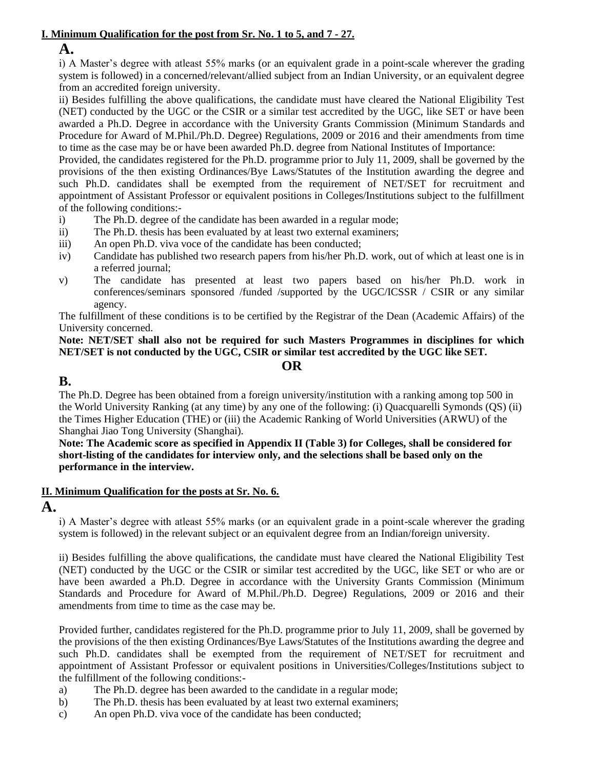#### **I. Minimum Qualification for the post from Sr. No. 1 to 5, and 7 - 27.**

### **A.**

i) A Master's degree with atleast 55% marks (or an equivalent grade in a point-scale wherever the grading system is followed) in a concerned/relevant/allied subject from an Indian University, or an equivalent degree from an accredited foreign university.

ii) Besides fulfilling the above qualifications, the candidate must have cleared the National Eligibility Test (NET) conducted by the UGC or the CSIR or a similar test accredited by the UGC, like SET or have been awarded a Ph.D. Degree in accordance with the University Grants Commission (Minimum Standards and Procedure for Award of M.Phil./Ph.D. Degree) Regulations, 2009 or 2016 and their amendments from time to time as the case may be or have been awarded Ph.D. degree from National Institutes of Importance:

Provided, the candidates registered for the Ph.D. programme prior to July 11, 2009, shall be governed by the provisions of the then existing Ordinances/Bye Laws/Statutes of the Institution awarding the degree and such Ph.D. candidates shall be exempted from the requirement of NET/SET for recruitment and appointment of Assistant Professor or equivalent positions in Colleges/Institutions subject to the fulfillment of the following conditions:-

- i) The Ph.D. degree of the candidate has been awarded in a regular mode;
- ii) The Ph.D. thesis has been evaluated by at least two external examiners;
- iii) An open Ph.D. viva voce of the candidate has been conducted;
- iv) Candidate has published two research papers from his/her Ph.D. work, out of which at least one is in a referred journal;
- v) The candidate has presented at least two papers based on his/her Ph.D. work in conferences/seminars sponsored /funded /supported by the UGC/ICSSR / CSIR or any similar agency.

The fulfillment of these conditions is to be certified by the Registrar of the Dean (Academic Affairs) of the University concerned.

#### **Note: NET/SET shall also not be required for such Masters Programmes in disciplines for which NET/SET is not conducted by the UGC, CSIR or similar test accredited by the UGC like SET.**

#### **OR**

# **B.**

The Ph.D. Degree has been obtained from a foreign university/institution with a ranking among top 500 in the World University Ranking (at any time) by any one of the following: (i) Quacquarelli Symonds (QS) (ii) the Times Higher Education (THE) or (iii) the Academic Ranking of World Universities (ARWU) of the Shanghai Jiao Tong University (Shanghai).

**Note: The Academic score as specified in Appendix II (Table 3) for Colleges, shall be considered for short-listing of the candidates for interview only, and the selections shall be based only on the performance in the interview.**

#### **II. Minimum Qualification for the posts at Sr. No. 6.**

## **A.**

i) A Master's degree with atleast 55% marks (or an equivalent grade in a point-scale wherever the grading system is followed) in the relevant subject or an equivalent degree from an Indian/foreign university.

ii) Besides fulfilling the above qualifications, the candidate must have cleared the National Eligibility Test (NET) conducted by the UGC or the CSIR or similar test accredited by the UGC, like SET or who are or have been awarded a Ph.D. Degree in accordance with the University Grants Commission (Minimum Standards and Procedure for Award of M.Phil./Ph.D. Degree) Regulations, 2009 or 2016 and their amendments from time to time as the case may be.

Provided further, candidates registered for the Ph.D. programme prior to July 11, 2009, shall be governed by the provisions of the then existing Ordinances/Bye Laws/Statutes of the Institutions awarding the degree and such Ph.D. candidates shall be exempted from the requirement of NET/SET for recruitment and appointment of Assistant Professor or equivalent positions in Universities/Colleges/Institutions subject to the fulfillment of the following conditions:-

- a) The Ph.D. degree has been awarded to the candidate in a regular mode;
- b) The Ph.D. thesis has been evaluated by at least two external examiners;
- c) An open Ph.D. viva voce of the candidate has been conducted;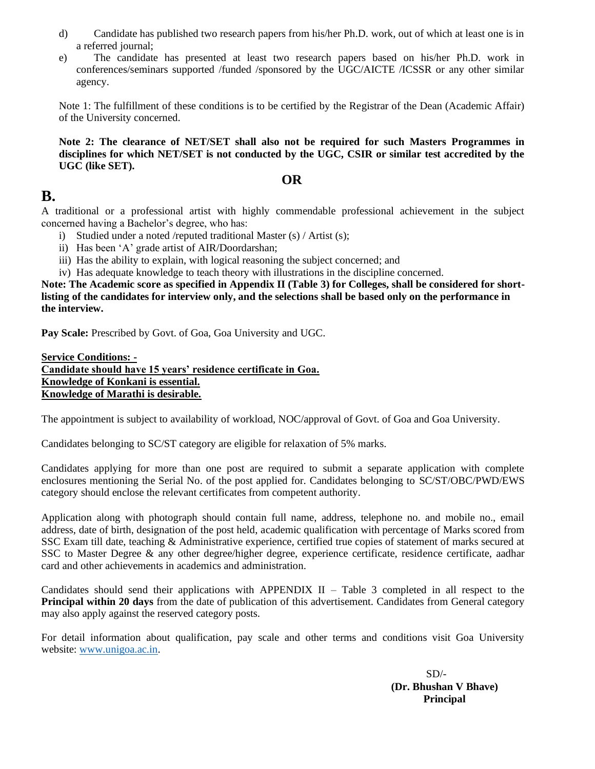- d) Candidate has published two research papers from his/her Ph.D. work, out of which at least one is in a referred journal;
- e) The candidate has presented at least two research papers based on his/her Ph.D. work in conferences/seminars supported /funded /sponsored by the UGC/AICTE /ICSSR or any other similar agency.

Note 1: The fulfillment of these conditions is to be certified by the Registrar of the Dean (Academic Affair) of the University concerned.

**Note 2: The clearance of NET/SET shall also not be required for such Masters Programmes in disciplines for which NET/SET is not conducted by the UGC, CSIR or similar test accredited by the UGC (like SET).**

#### **OR**

# **B.**

A traditional or a professional artist with highly commendable professional achievement in the subject concerned having a Bachelor's degree, who has:

- i) Studied under a noted /reputed traditional Master (s) / Artist (s);
- ii) Has been 'A' grade artist of AIR/Doordarshan;
- iii) Has the ability to explain, with logical reasoning the subject concerned; and

iv) Has adequate knowledge to teach theory with illustrations in the discipline concerned.

**Note: The Academic score as specified in Appendix II (Table 3) for Colleges, shall be considered for shortlisting of the candidates for interview only, and the selections shall be based only on the performance in the interview.**

**Pay Scale:** Prescribed by Govt. of Goa, Goa University and UGC.

**Service Conditions: - Candidate should have 15 years' residence certificate in Goa. Knowledge of Konkani is essential. Knowledge of Marathi is desirable.**

The appointment is subject to availability of workload, NOC/approval of Govt. of Goa and Goa University.

Candidates belonging to SC/ST category are eligible for relaxation of 5% marks.

Candidates applying for more than one post are required to submit a separate application with complete enclosures mentioning the Serial No. of the post applied for. Candidates belonging to SC/ST/OBC/PWD/EWS category should enclose the relevant certificates from competent authority.

Application along with photograph should contain full name, address, telephone no. and mobile no., email address, date of birth, designation of the post held, academic qualification with percentage of Marks scored from SSC Exam till date, teaching & Administrative experience, certified true copies of statement of marks secured at SSC to Master Degree & any other degree/higher degree, experience certificate, residence certificate, aadhar card and other achievements in academics and administration.

Candidates should send their applications with APPENDIX II – Table 3 completed in all respect to the **Principal within 20 days** from the date of publication of this advertisement. Candidates from General category may also apply against the reserved category posts.

For detail information about qualification, pay scale and other terms and conditions visit Goa University website: [www.unigoa.ac.in.](http://www.unigoa.ac.in/)

> $SD/-$ **(Dr. Bhushan V Bhave) Principal**